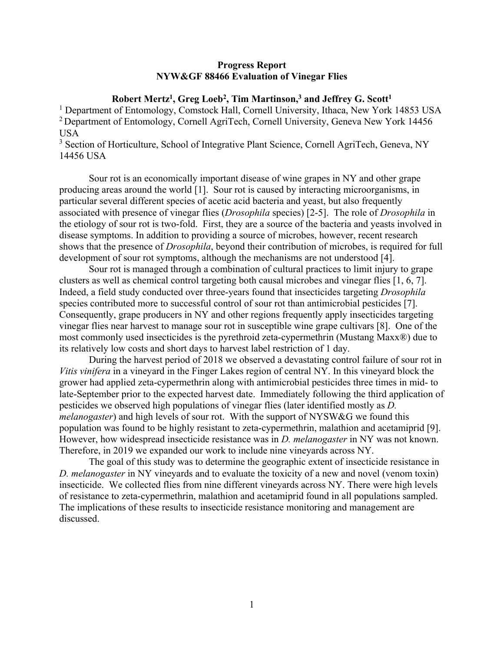## **Progress Report NYW&GF 88466 Evaluation of Vinegar Flies**

## **Robert Mertz1, Greg Loeb2, Tim Martinson,3 and Jeffrey G. Scott1**

<sup>1</sup> Department of Entomology, Comstock Hall, Cornell University, Ithaca, New York 14853 USA <sup>2</sup> Department of Entomology, Cornell AgriTech, Cornell University, Geneva New York 14456 USA

<sup>3</sup> Section of Horticulture, School of Integrative Plant Science, Cornell AgriTech, Geneva, NY 14456 USA

Sour rot is an economically important disease of wine grapes in NY and other grape producing areas around the world [1]. Sour rot is caused by interacting microorganisms, in particular several different species of acetic acid bacteria and yeast, but also frequently associated with presence of vinegar flies (*Drosophila* species) [2-5]. The role of *Drosophila* in the etiology of sour rot is two-fold. First, they are a source of the bacteria and yeasts involved in disease symptoms. In addition to providing a source of microbes, however, recent research shows that the presence of *Drosophila*, beyond their contribution of microbes, is required for full development of sour rot symptoms, although the mechanisms are not understood [4].

 Sour rot is managed through a combination of cultural practices to limit injury to grape clusters as well as chemical control targeting both causal microbes and vinegar flies [1, 6, 7]. Indeed, a field study conducted over three-years found that insecticides targeting *Drosophila*  species contributed more to successful control of sour rot than antimicrobial pesticides [7]. Consequently, grape producers in NY and other regions frequently apply insecticides targeting vinegar flies near harvest to manage sour rot in susceptible wine grape cultivars [8]. One of the most commonly used insecticides is the pyrethroid zeta-cypermethrin (Mustang Maxx®) due to its relatively low costs and short days to harvest label restriction of 1 day.

 During the harvest period of 2018 we observed a devastating control failure of sour rot in *Vitis vinifera* in a vineyard in the Finger Lakes region of central NY. In this vineyard block the grower had applied zeta-cypermethrin along with antimicrobial pesticides three times in mid- to late-September prior to the expected harvest date. Immediately following the third application of pesticides we observed high populations of vinegar flies (later identified mostly as *D. melanogaster*) and high levels of sour rot. With the support of NYSW&G we found this population was found to be highly resistant to zeta-cypermethrin, malathion and acetamiprid [9]. However, how widespread insecticide resistance was in *D. melanogaster* in NY was not known. Therefore, in 2019 we expanded our work to include nine vineyards across NY.

 The goal of this study was to determine the geographic extent of insecticide resistance in *D. melanogaster* in NY vineyards and to evaluate the toxicity of a new and novel (venom toxin) insecticide. We collected flies from nine different vineyards across NY. There were high levels of resistance to zeta-cypermethrin, malathion and acetamiprid found in all populations sampled. The implications of these results to insecticide resistance monitoring and management are discussed.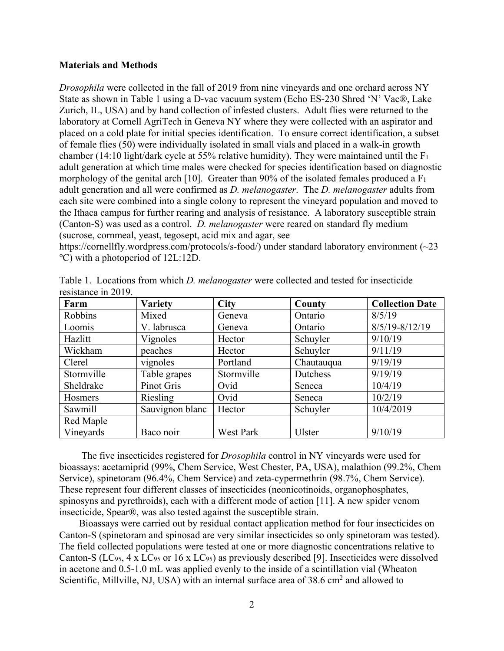### **Materials and Methods**

*Drosophila* were collected in the fall of 2019 from nine vineyards and one orchard across NY State as shown in Table 1 using a D-vac vacuum system (Echo ES-230 Shred 'N' Vac®, Lake Zurich, IL, USA) and by hand collection of infested clusters. Adult flies were returned to the laboratory at Cornell AgriTech in Geneva NY where they were collected with an aspirator and placed on a cold plate for initial species identification. To ensure correct identification, a subset of female flies (50) were individually isolated in small vials and placed in a walk-in growth chamber (14:10 light/dark cycle at 55% relative humidity). They were maintained until the  $F_1$ adult generation at which time males were checked for species identification based on diagnostic morphology of the genital arch [10]. Greater than 90% of the isolated females produced a  $F_1$ adult generation and all were confirmed as *D. melanogaster*. The *D. melanogaster* adults from each site were combined into a single colony to represent the vineyard population and moved to the Ithaca campus for further rearing and analysis of resistance. A laboratory susceptible strain (Canton-S) was used as a control. *D. melanogaster* were reared on standard fly medium (sucrose, cornmeal, yeast, tegosept, acid mix and agar, see

https://cornellfly.wordpress.com/protocols/s-food/) under standard laboratory environment (~23 ℃) with a photoperiod of 12L:12D.

| Farm           | <b>Variety</b>  | <b>City</b> | County     | <b>Collection Date</b> |
|----------------|-----------------|-------------|------------|------------------------|
| Robbins        | Mixed           | Geneva      | Ontario    | 8/5/19                 |
| Loomis         | V. labrusca     | Geneva      | Ontario    | $8/5/19 - 8/12/19$     |
| Hazlitt        | Vignoles        | Hector      | Schuyler   | 9/10/19                |
| Wickham        | peaches         | Hector      | Schuyler   | 9/11/19                |
| Clerel         | vignoles        | Portland    | Chautauqua | 9/19/19                |
| Stormville     | Table grapes    | Stormville  | Dutchess   | 9/19/19                |
| Sheldrake      | Pinot Gris      | Ovid        | Seneca     | 10/4/19                |
| <b>Hosmers</b> | Riesling        | Ovid        | Seneca     | 10/2/19                |
| Sawmill        | Sauvignon blanc | Hector      | Schuyler   | 10/4/2019              |
| Red Maple      |                 |             |            |                        |
| Vineyards      | Baco noir       | West Park   | Ulster     | 9/10/19                |

Table 1. Locations from which *D. melanogaster* were collected and tested for insecticide resistance in 2019.

 The five insecticides registered for *Drosophila* control in NY vineyards were used for bioassays: acetamiprid (99%, Chem Service, West Chester, PA, USA), malathion (99.2%, Chem Service), spinetoram (96.4%, Chem Service) and zeta-cypermethrin (98.7%, Chem Service). These represent four different classes of insecticides (neonicotinoids, organophosphates, spinosyns and pyrethroids), each with a different mode of action [11]. A new spider venom insecticide, Spear®, was also tested against the susceptible strain.

 Bioassays were carried out by residual contact application method for four insecticides on Canton-S (spinetoram and spinosad are very similar insecticides so only spinetoram was tested). The field collected populations were tested at one or more diagnostic concentrations relative to Canton-S (LC<sub>95</sub>, 4 x LC<sub>95</sub> or 16 x LC<sub>95</sub>) as previously described [9]. Insecticides were dissolved in acetone and 0.5-1.0 mL was applied evenly to the inside of a scintillation vial (Wheaton Scientific, Millville, NJ, USA) with an internal surface area of  $38.6 \text{ cm}^2$  and allowed to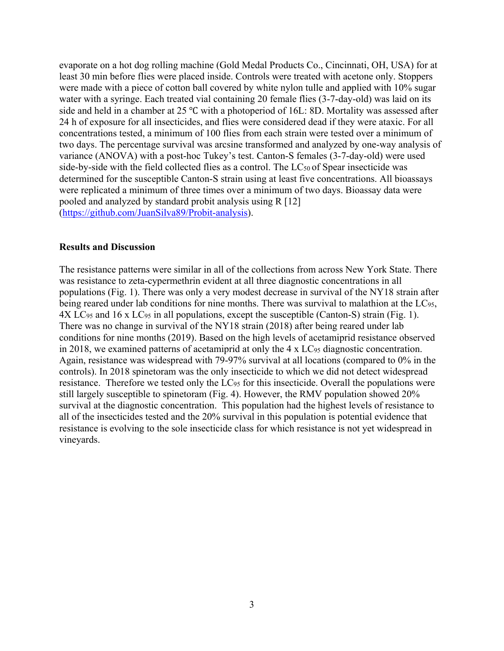evaporate on a hot dog rolling machine (Gold Medal Products Co., Cincinnati, OH, USA) for at least 30 min before flies were placed inside. Controls were treated with acetone only. Stoppers were made with a piece of cotton ball covered by white nylon tulle and applied with 10% sugar water with a syringe. Each treated vial containing 20 female flies (3-7-day-old) was laid on its side and held in a chamber at 25 ℃ with a photoperiod of 16L: 8D. Mortality was assessed after 24 h of exposure for all insecticides, and flies were considered dead if they were ataxic. For all concentrations tested, a minimum of 100 flies from each strain were tested over a minimum of two days. The percentage survival was arcsine transformed and analyzed by one-way analysis of variance (ANOVA) with a post-hoc Tukey's test. Canton-S females (3-7-day-old) were used side-by-side with the field collected flies as a control. The  $LC_{50}$  of Spear insecticide was determined for the susceptible Canton-S strain using at least five concentrations. All bioassays were replicated a minimum of three times over a minimum of two days. Bioassay data were pooled and analyzed by standard probit analysis using R [12] (https://github.com/JuanSilva89/Probit-analysis).

#### **Results and Discussion**

The resistance patterns were similar in all of the collections from across New York State. There was resistance to zeta-cypermethrin evident at all three diagnostic concentrations in all populations (Fig. 1). There was only a very modest decrease in survival of the NY18 strain after being reared under lab conditions for nine months. There was survival to malathion at the LC<sub>95</sub>, 4X LC95 and 16 x LC95 in all populations, except the susceptible (Canton-S) strain (Fig. 1). There was no change in survival of the NY18 strain (2018) after being reared under lab conditions for nine months (2019). Based on the high levels of acetamiprid resistance observed in 2018, we examined patterns of acetamiprid at only the 4 x LC95 diagnostic concentration. Again, resistance was widespread with 79-97% survival at all locations (compared to 0% in the controls). In 2018 spinetoram was the only insecticide to which we did not detect widespread resistance. Therefore we tested only the LC<sub>95</sub> for this insecticide. Overall the populations were still largely susceptible to spinetoram (Fig. 4). However, the RMV population showed 20% survival at the diagnostic concentration. This population had the highest levels of resistance to all of the insecticides tested and the 20% survival in this population is potential evidence that resistance is evolving to the sole insecticide class for which resistance is not yet widespread in vineyards.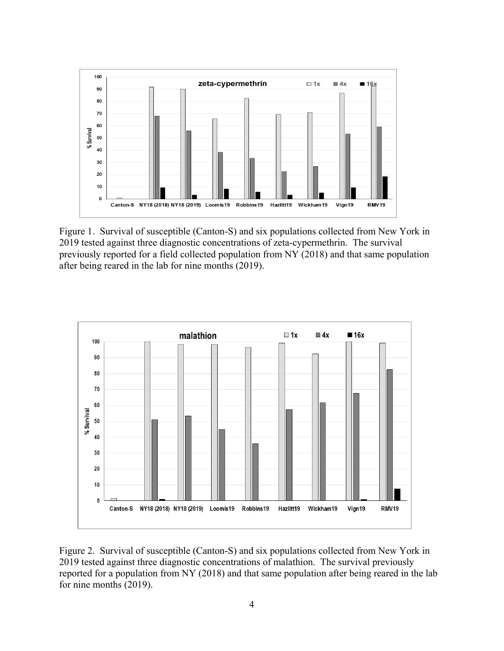

Figure 1. Survival of susceptible (Canton-S) and six populations collected from New York in 2019 tested against three diagnostic concentrations of zeta-cypermethrin. The survival previously reported for a field collected population from NY (2018) and that same population after being reared in the lab for nine months (2019).



Figure 2. Survival of susceptible (Canton-S) and six populations collected from New York in 2019 tested against three diagnostic concentrations of malathion. The survival previously reported for a population from NY (2018) and that same population after being reared in the lab for nine months (2019).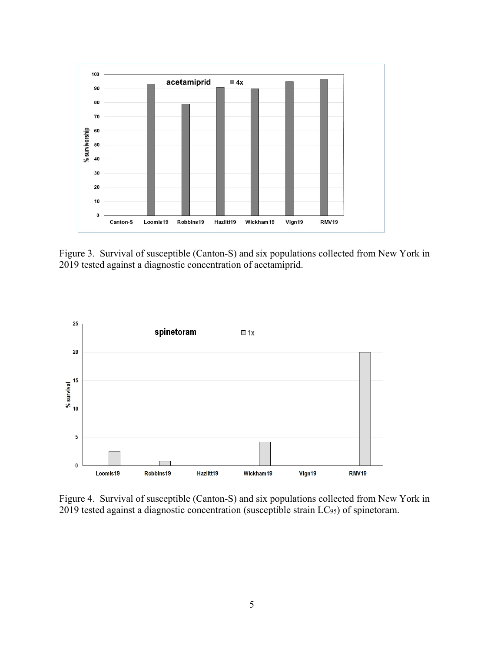

Figure 3. Survival of susceptible (Canton-S) and six populations collected from New York in 2019 tested against a diagnostic concentration of acetamiprid.



Figure 4. Survival of susceptible (Canton-S) and six populations collected from New York in 2019 tested against a diagnostic concentration (susceptible strain LC<sub>95</sub>) of spinetoram.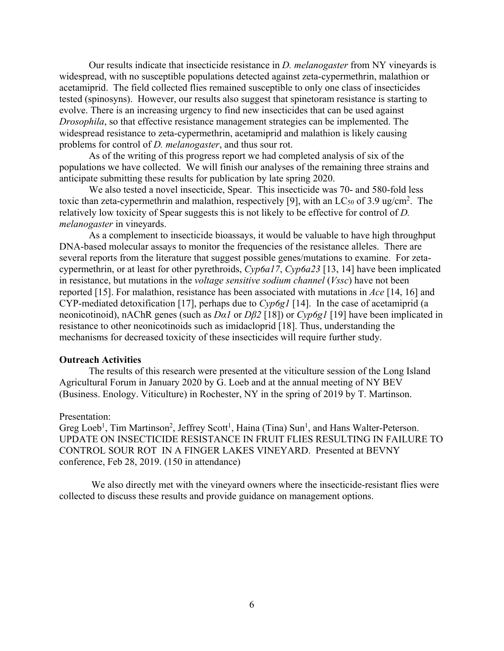Our results indicate that insecticide resistance in *D. melanogaster* from NY vineyards is widespread, with no susceptible populations detected against zeta-cypermethrin, malathion or acetamiprid. The field collected flies remained susceptible to only one class of insecticides tested (spinosyns). However, our results also suggest that spinetoram resistance is starting to evolve. There is an increasing urgency to find new insecticides that can be used against *Drosophila*, so that effective resistance management strategies can be implemented. The widespread resistance to zeta-cypermethrin, acetamiprid and malathion is likely causing problems for control of *D. melanogaster*, and thus sour rot.

 As of the writing of this progress report we had completed analysis of six of the populations we have collected. We will finish our analyses of the remaining three strains and anticipate submitting these results for publication by late spring 2020.

We also tested a novel insecticide, Spear. This insecticide was 70- and 580-fold less toxic than zeta-cypermethrin and malathion, respectively [9], with an LC $_{50}$  of 3.9 ug/cm<sup>2</sup>. The relatively low toxicity of Spear suggests this is not likely to be effective for control of *D. melanogaster* in vineyards.

As a complement to insecticide bioassays, it would be valuable to have high throughput DNA-based molecular assays to monitor the frequencies of the resistance alleles. There are several reports from the literature that suggest possible genes/mutations to examine. For zetacypermethrin, or at least for other pyrethroids, *Cyp6a17*, *Cyp6a23* [13, 14] have been implicated in resistance, but mutations in the *voltage sensitive sodium channel* (*Vssc*) have not been reported [15]. For malathion, resistance has been associated with mutations in *Ace* [14, 16] and CYP-mediated detoxification [17], perhaps due to *Cyp6g1* [14]. In the case of acetamiprid (a neonicotinoid), nAChR genes (such as *Dα1* or *Dβ2* [18]) or *Cyp6g1* [19] have been implicated in resistance to other neonicotinoids such as imidacloprid [18]. Thus, understanding the mechanisms for decreased toxicity of these insecticides will require further study.

#### **Outreach Activities**

The results of this research were presented at the viticulture session of the Long Island Agricultural Forum in January 2020 by G. Loeb and at the annual meeting of NY BEV (Business. Enology. Viticulture) in Rochester, NY in the spring of 2019 by T. Martinson.

#### Presentation:

Greg Loeb<sup>1</sup>, Tim Martinson<sup>2</sup>, Jeffrey Scott<sup>1</sup>, Haina (Tina) Sun<sup>1</sup>, and Hans Walter-Peterson. UPDATE ON INSECTICIDE RESISTANCE IN FRUIT FLIES RESULTING IN FAILURE TO CONTROL SOUR ROT IN A FINGER LAKES VINEYARD. Presented at BEVNY conference, Feb 28, 2019. (150 in attendance)

 We also directly met with the vineyard owners where the insecticide-resistant flies were collected to discuss these results and provide guidance on management options.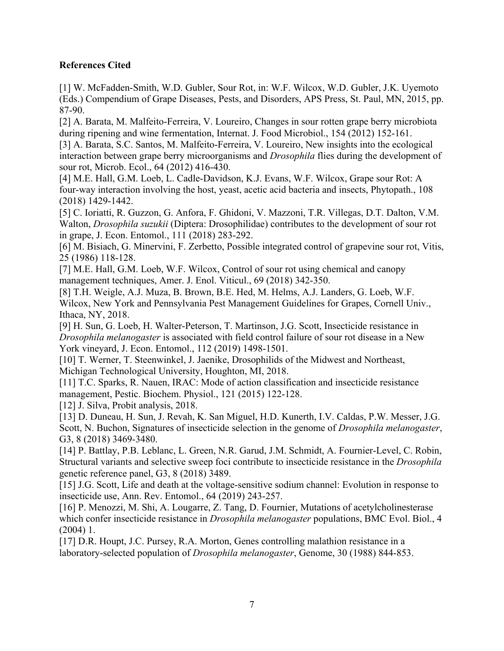# **References Cited**

[1] W. McFadden-Smith, W.D. Gubler, Sour Rot, in: W.F. Wilcox, W.D. Gubler, J.K. Uyemoto (Eds.) Compendium of Grape Diseases, Pests, and Disorders, APS Press, St. Paul, MN, 2015, pp. 87-90.

[2] A. Barata, M. Malfeito-Ferreira, V. Loureiro, Changes in sour rotten grape berry microbiota during ripening and wine fermentation, Internat. J. Food Microbiol., 154 (2012) 152-161.

[3] A. Barata, S.C. Santos, M. Malfeito-Ferreira, V. Loureiro, New insights into the ecological interaction between grape berry microorganisms and *Drosophila* flies during the development of sour rot, Microb. Ecol., 64 (2012) 416-430.

[4] M.E. Hall, G.M. Loeb, L. Cadle-Davidson, K.J. Evans, W.F. Wilcox, Grape sour Rot: A four-way interaction involving the host, yeast, acetic acid bacteria and insects, Phytopath., 108 (2018) 1429-1442.

[5] C. Ioriatti, R. Guzzon, G. Anfora, F. Ghidoni, V. Mazzoni, T.R. Villegas, D.T. Dalton, V.M. Walton, *Drosophila suzukii* (Diptera: Drosophilidae) contributes to the development of sour rot in grape, J. Econ. Entomol., 111 (2018) 283-292.

[6] M. Bisiach, G. Minervini, F. Zerbetto, Possible integrated control of grapevine sour rot, Vitis, 25 (1986) 118-128.

[7] M.E. Hall, G.M. Loeb, W.F. Wilcox, Control of sour rot using chemical and canopy management techniques, Amer. J. Enol. Viticul., 69 (2018) 342-350.

[8] T.H. Weigle, A.J. Muza, B. Brown, B.E. Hed, M. Helms, A.J. Landers, G. Loeb, W.F. Wilcox, New York and Pennsylvania Pest Management Guidelines for Grapes, Cornell Univ., Ithaca, NY, 2018.

[9] H. Sun, G. Loeb, H. Walter-Peterson, T. Martinson, J.G. Scott, Insecticide resistance in *Drosophila melanogaster* is associated with field control failure of sour rot disease in a New York vineyard, J. Econ. Entomol., 112 (2019) 1498-1501.

[10] T. Werner, T. Steenwinkel, J. Jaenike, Drosophilids of the Midwest and Northeast, Michigan Technological University, Houghton, MI, 2018.

[11] T.C. Sparks, R. Nauen, IRAC: Mode of action classification and insecticide resistance management, Pestic. Biochem. Physiol., 121 (2015) 122-128.

[12] J. Silva, Probit analysis, 2018.

[13] D. Duneau, H. Sun, J. Revah, K. San Miguel, H.D. Kunerth, I.V. Caldas, P.W. Messer, J.G. Scott, N. Buchon, Signatures of insecticide selection in the genome of *Drosophila melanogaster*, G3, 8 (2018) 3469-3480.

[14] P. Battlay, P.B. Leblanc, L. Green, N.R. Garud, J.M. Schmidt, A. Fournier-Level, C. Robin, Structural variants and selective sweep foci contribute to insecticide resistance in the *Drosophila* genetic reference panel, G3, 8 (2018) 3489.

[15] J.G. Scott, Life and death at the voltage-sensitive sodium channel: Evolution in response to insecticide use, Ann. Rev. Entomol., 64 (2019) 243-257.

[16] P. Menozzi, M. Shi, A. Lougarre, Z. Tang, D. Fournier, Mutations of acetylcholinesterase which confer insecticide resistance in *Drosophila melanogaster* populations, BMC Evol. Biol., 4 (2004) 1.

[17] D.R. Houpt, J.C. Pursey, R.A. Morton, Genes controlling malathion resistance in a laboratory-selected population of *Drosophila melanogaster*, Genome, 30 (1988) 844-853.